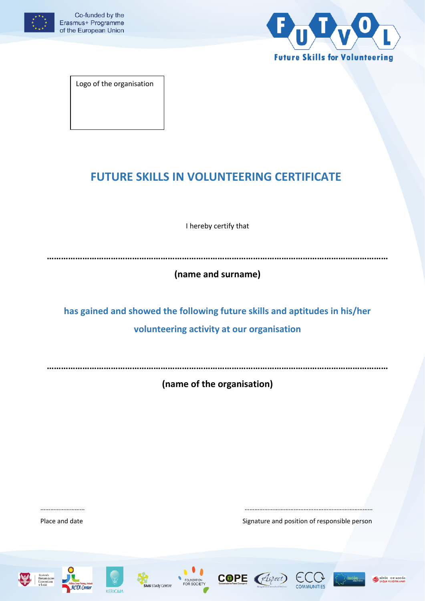



Logo of the organisation

# **FUTURE SKILLS IN VOLUNTEERING CERTIFICATE**

I hereby certify that

**………………………………………………………………………………………………………………………………**

**(name and surname)**

**has gained and showed the following future skills and aptitudes in his/her volunteering activity at our organisation**

**………………………………………………………………………………………………………………………………**

**(name of the organisation)**

……………………… ……………………………………………………………………

Place and date **Signature and position of responsible person** 













BÜYÜK ORTADOĞI